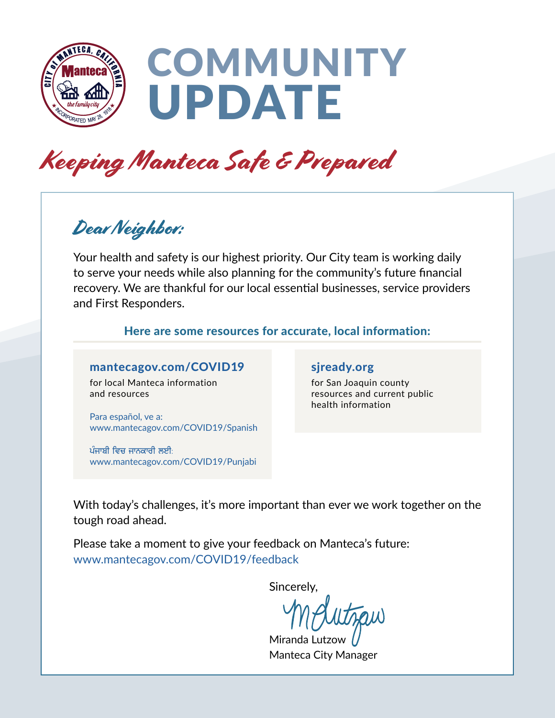

# **COMMUNITY** UPDATE

## Keeping Manteca Safe & Prepared

### Dear Neighbor:

Your health and safety is our highest priority. Our City team is working daily to serve your needs while also planning for the community's future financial recovery. We are thankful for our local essential businesses, service providers and First Responders.

#### Here are some resources for accurate, local information:

#### [mantecagov.com/COVID19](http://www.mantecagov.com/COVID19)

for local Manteca information and resources

[Para español, ve a](http://www.mantecagov.com/COVID19/Spanish): www.mantecagov.com/COVID19/Spanish

ਪੰਜਾਬੀ ਵਿਚ ਜਾਨਕਾਰੀ ਲਈ $\cdot$ [www.mantecagov.com/COVID19/Punjabi](http://www.mantecagov.com/COVID19/Punjabi) 

#### [sjready.org](http://www.sjready.org)

for San Joaquin county resources and current public health information

With today's challenges, it's more important than ever we work together on the tough road ahead.

Please take a moment to give your feedback on Manteca's future: [www.mantecagov.com/COVID19/feedback](http://www.mantecagov.com/COVID19/feedback)

Sincerely,

Miranda Lutzoy Manteca City Manager